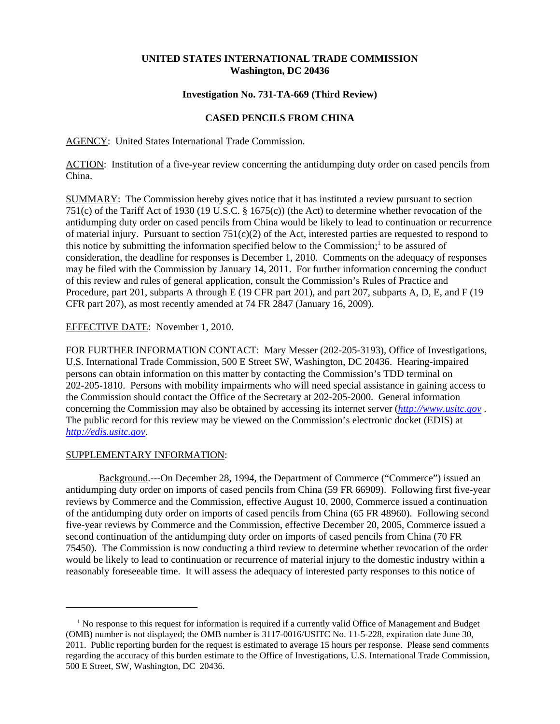## **UNITED STATES INTERNATIONAL TRADE COMMISSION Washington, DC 20436**

### **Investigation No. 731-TA-669 (Third Review)**

# **CASED PENCILS FROM CHINA**

AGENCY: United States International Trade Commission.

ACTION: Institution of a five-year review concerning the antidumping duty order on cased pencils from China.

SUMMARY: The Commission hereby gives notice that it has instituted a review pursuant to section 751(c) of the Tariff Act of 1930 (19 U.S.C. § 1675(c)) (the Act) to determine whether revocation of the antidumping duty order on cased pencils from China would be likely to lead to continuation or recurrence of material injury. Pursuant to section  $751(c)(2)$  of the Act, interested parties are requested to respond to this notice by submitting the information specified below to the Commission;<sup>1</sup> to be assured of consideration, the deadline for responses is December 1, 2010. Comments on the adequacy of responses may be filed with the Commission by January 14, 2011. For further information concerning the conduct of this review and rules of general application, consult the Commission's Rules of Practice and Procedure, part 201, subparts A through E (19 CFR part 201), and part 207, subparts A, D, E, and F (19 CFR part 207), as most recently amended at 74 FR 2847 (January 16, 2009).

### EFFECTIVE DATE: November 1, 2010.

FOR FURTHER INFORMATION CONTACT: Mary Messer (202-205-3193), Office of Investigations, U.S. International Trade Commission, 500 E Street SW, Washington, DC 20436. Hearing-impaired persons can obtain information on this matter by contacting the Commission's TDD terminal on 202-205-1810. Persons with mobility impairments who will need special assistance in gaining access to the Commission should contact the Office of the Secretary at 202-205-2000. General information concerning the Commission may also be obtained by accessing its internet server (*http://www.usitc.gov* . The public record for this review may be viewed on the Commission's electronic docket (EDIS) at *http://edis.usitc.gov*.

#### SUPPLEMENTARY INFORMATION:

Background.---On December 28, 1994, the Department of Commerce ("Commerce") issued an antidumping duty order on imports of cased pencils from China (59 FR 66909). Following first five-year reviews by Commerce and the Commission, effective August 10, 2000, Commerce issued a continuation of the antidumping duty order on imports of cased pencils from China (65 FR 48960). Following second five-year reviews by Commerce and the Commission, effective December 20, 2005, Commerce issued a second continuation of the antidumping duty order on imports of cased pencils from China (70 FR 75450). The Commission is now conducting a third review to determine whether revocation of the order would be likely to lead to continuation or recurrence of material injury to the domestic industry within a reasonably foreseeable time. It will assess the adequacy of interested party responses to this notice of

<sup>&</sup>lt;sup>1</sup> No response to this request for information is required if a currently valid Office of Management and Budget (OMB) number is not displayed; the OMB number is 3117-0016/USITC No. 11-5-228, expiration date June 30, 2011. Public reporting burden for the request is estimated to average 15 hours per response. Please send comments regarding the accuracy of this burden estimate to the Office of Investigations, U.S. International Trade Commission, 500 E Street, SW, Washington, DC 20436.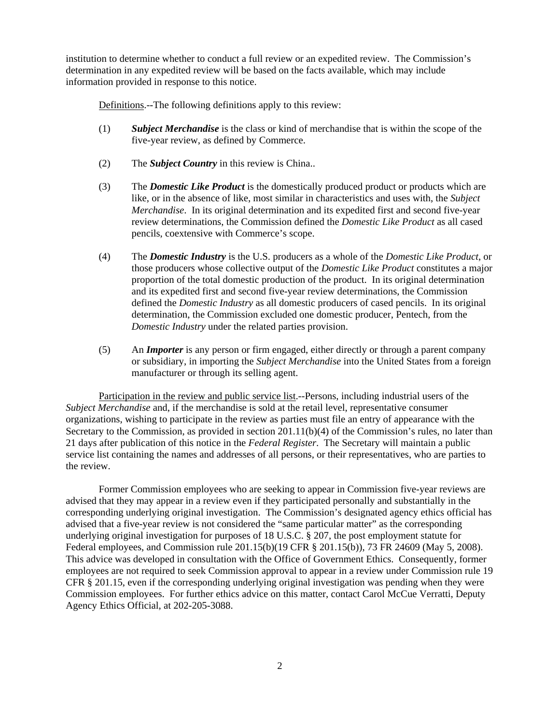institution to determine whether to conduct a full review or an expedited review. The Commission's determination in any expedited review will be based on the facts available, which may include information provided in response to this notice.

Definitions.--The following definitions apply to this review:

- (1) *Subject Merchandise* is the class or kind of merchandise that is within the scope of the five-year review, as defined by Commerce.
- (2) The *Subject Country* in this review is China..
- (3) The *Domestic Like Product* is the domestically produced product or products which are like, or in the absence of like, most similar in characteristics and uses with, the *Subject Merchandise*. In its original determination and its expedited first and second five-year review determinations, the Commission defined the *Domestic Like Product* as all cased pencils, coextensive with Commerce's scope.
- (4) The *Domestic Industry* is the U.S. producers as a whole of the *Domestic Like Product*, or those producers whose collective output of the *Domestic Like Product* constitutes a major proportion of the total domestic production of the product. In its original determination and its expedited first and second five-year review determinations, the Commission defined the *Domestic Industry* as all domestic producers of cased pencils. In its original determination, the Commission excluded one domestic producer, Pentech, from the *Domestic Industry* under the related parties provision.
- (5) An *Importer* is any person or firm engaged, either directly or through a parent company or subsidiary, in importing the *Subject Merchandise* into the United States from a foreign manufacturer or through its selling agent.

Participation in the review and public service list.--Persons, including industrial users of the *Subject Merchandise* and, if the merchandise is sold at the retail level, representative consumer organizations, wishing to participate in the review as parties must file an entry of appearance with the Secretary to the Commission, as provided in section 201.11(b)(4) of the Commission's rules, no later than 21 days after publication of this notice in the *Federal Register*. The Secretary will maintain a public service list containing the names and addresses of all persons, or their representatives, who are parties to the review.

Former Commission employees who are seeking to appear in Commission five-year reviews are advised that they may appear in a review even if they participated personally and substantially in the corresponding underlying original investigation. The Commission's designated agency ethics official has advised that a five-year review is not considered the "same particular matter" as the corresponding underlying original investigation for purposes of 18 U.S.C. § 207, the post employment statute for Federal employees, and Commission rule 201.15(b)(19 CFR § 201.15(b)), 73 FR 24609 (May 5, 2008). This advice was developed in consultation with the Office of Government Ethics. Consequently, former employees are not required to seek Commission approval to appear in a review under Commission rule 19 CFR § 201.15, even if the corresponding underlying original investigation was pending when they were Commission employees. For further ethics advice on this matter, contact Carol McCue Verratti, Deputy Agency Ethics Official, at 202-205-3088.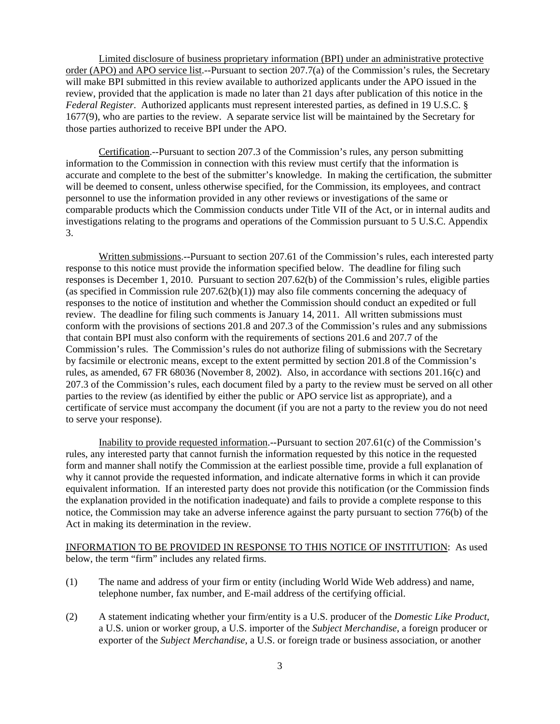Limited disclosure of business proprietary information (BPI) under an administrative protective order (APO) and APO service list.--Pursuant to section 207.7(a) of the Commission's rules, the Secretary will make BPI submitted in this review available to authorized applicants under the APO issued in the review, provided that the application is made no later than 21 days after publication of this notice in the *Federal Register*. Authorized applicants must represent interested parties, as defined in 19 U.S.C. § 1677(9), who are parties to the review. A separate service list will be maintained by the Secretary for those parties authorized to receive BPI under the APO.

Certification.--Pursuant to section 207.3 of the Commission's rules, any person submitting information to the Commission in connection with this review must certify that the information is accurate and complete to the best of the submitter's knowledge. In making the certification, the submitter will be deemed to consent, unless otherwise specified, for the Commission, its employees, and contract personnel to use the information provided in any other reviews or investigations of the same or comparable products which the Commission conducts under Title VII of the Act, or in internal audits and investigations relating to the programs and operations of the Commission pursuant to 5 U.S.C. Appendix 3.

Written submissions.--Pursuant to section 207.61 of the Commission's rules, each interested party response to this notice must provide the information specified below. The deadline for filing such responses is December 1, 2010. Pursuant to section 207.62(b) of the Commission's rules, eligible parties (as specified in Commission rule  $207.62(b)(1)$ ) may also file comments concerning the adequacy of responses to the notice of institution and whether the Commission should conduct an expedited or full review. The deadline for filing such comments is January 14, 2011. All written submissions must conform with the provisions of sections 201.8 and 207.3 of the Commission's rules and any submissions that contain BPI must also conform with the requirements of sections 201.6 and 207.7 of the Commission's rules. The Commission's rules do not authorize filing of submissions with the Secretary by facsimile or electronic means, except to the extent permitted by section 201.8 of the Commission's rules, as amended, 67 FR 68036 (November 8, 2002). Also, in accordance with sections 201.16(c) and 207.3 of the Commission's rules, each document filed by a party to the review must be served on all other parties to the review (as identified by either the public or APO service list as appropriate), and a certificate of service must accompany the document (if you are not a party to the review you do not need to serve your response).

Inability to provide requested information.--Pursuant to section 207.61(c) of the Commission's rules, any interested party that cannot furnish the information requested by this notice in the requested form and manner shall notify the Commission at the earliest possible time, provide a full explanation of why it cannot provide the requested information, and indicate alternative forms in which it can provide equivalent information. If an interested party does not provide this notification (or the Commission finds the explanation provided in the notification inadequate) and fails to provide a complete response to this notice, the Commission may take an adverse inference against the party pursuant to section 776(b) of the Act in making its determination in the review.

INFORMATION TO BE PROVIDED IN RESPONSE TO THIS NOTICE OF INSTITUTION: As used below, the term "firm" includes any related firms.

- (1) The name and address of your firm or entity (including World Wide Web address) and name, telephone number, fax number, and E-mail address of the certifying official.
- (2) A statement indicating whether your firm/entity is a U.S. producer of the *Domestic Like Product*, a U.S. union or worker group, a U.S. importer of the *Subject Merchandise*, a foreign producer or exporter of the *Subject Merchandise*, a U.S. or foreign trade or business association, or another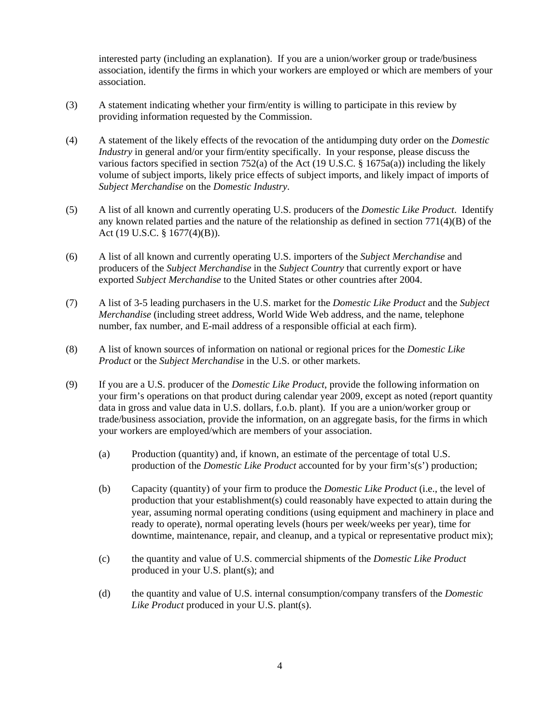interested party (including an explanation). If you are a union/worker group or trade/business association, identify the firms in which your workers are employed or which are members of your association.

- (3) A statement indicating whether your firm/entity is willing to participate in this review by providing information requested by the Commission.
- (4) A statement of the likely effects of the revocation of the antidumping duty order on the *Domestic Industry* in general and/or your firm/entity specifically. In your response, please discuss the various factors specified in section 752(a) of the Act (19 U.S.C. § 1675a(a)) including the likely volume of subject imports, likely price effects of subject imports, and likely impact of imports of *Subject Merchandise* on the *Domestic Industry*.
- (5) A list of all known and currently operating U.S. producers of the *Domestic Like Product*. Identify any known related parties and the nature of the relationship as defined in section 771(4)(B) of the Act (19 U.S.C. § 1677(4)(B)).
- (6) A list of all known and currently operating U.S. importers of the *Subject Merchandise* and producers of the *Subject Merchandise* in the *Subject Country* that currently export or have exported *Subject Merchandise* to the United States or other countries after 2004.
- (7) A list of 3-5 leading purchasers in the U.S. market for the *Domestic Like Product* and the *Subject Merchandise* (including street address, World Wide Web address, and the name, telephone number, fax number, and E-mail address of a responsible official at each firm).
- (8) A list of known sources of information on national or regional prices for the *Domestic Like Product* or the *Subject Merchandise* in the U.S. or other markets.
- (9) If you are a U.S. producer of the *Domestic Like Product*, provide the following information on your firm's operations on that product during calendar year 2009, except as noted (report quantity data in gross and value data in U.S. dollars, f.o.b. plant). If you are a union/worker group or trade/business association, provide the information, on an aggregate basis, for the firms in which your workers are employed/which are members of your association.
	- (a) Production (quantity) and, if known, an estimate of the percentage of total U.S. production of the *Domestic Like Product* accounted for by your firm's(s') production;
	- (b) Capacity (quantity) of your firm to produce the *Domestic Like Product* (i.e., the level of production that your establishment(s) could reasonably have expected to attain during the year, assuming normal operating conditions (using equipment and machinery in place and ready to operate), normal operating levels (hours per week/weeks per year), time for downtime, maintenance, repair, and cleanup, and a typical or representative product mix);
	- (c) the quantity and value of U.S. commercial shipments of the *Domestic Like Product* produced in your U.S. plant(s); and
	- (d) the quantity and value of U.S. internal consumption/company transfers of the *Domestic Like Product* produced in your U.S. plant(s).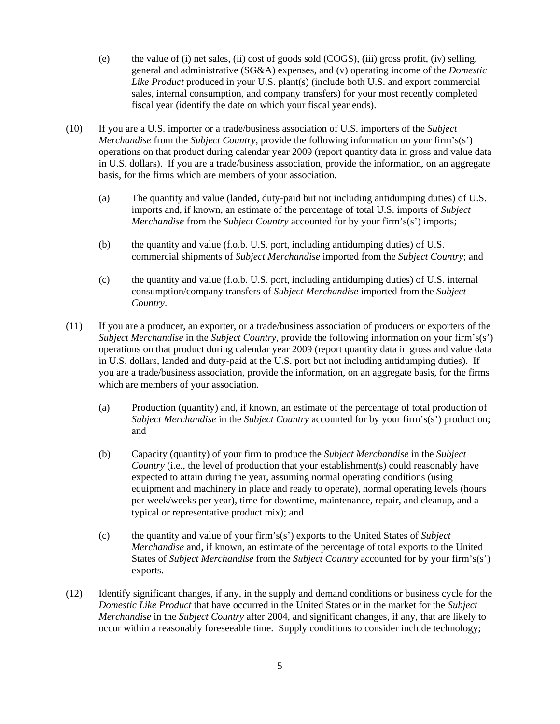- (e) the value of (i) net sales, (ii) cost of goods sold (COGS), (iii) gross profit, (iv) selling, general and administrative (SG&A) expenses, and (v) operating income of the *Domestic Like Product* produced in your U.S. plant(s) (include both U.S. and export commercial sales, internal consumption, and company transfers) for your most recently completed fiscal year (identify the date on which your fiscal year ends).
- (10) If you are a U.S. importer or a trade/business association of U.S. importers of the *Subject Merchandise* from the *Subject Country*, provide the following information on your firm's(s') operations on that product during calendar year 2009 (report quantity data in gross and value data in U.S. dollars). If you are a trade/business association, provide the information, on an aggregate basis, for the firms which are members of your association.
	- (a) The quantity and value (landed, duty-paid but not including antidumping duties) of U.S. imports and, if known, an estimate of the percentage of total U.S. imports of *Subject Merchandise* from the *Subject Country* accounted for by your firm's(s') imports;
	- (b) the quantity and value (f.o.b. U.S. port, including antidumping duties) of U.S. commercial shipments of *Subject Merchandise* imported from the *Subject Country*; and
	- (c) the quantity and value (f.o.b. U.S. port, including antidumping duties) of U.S. internal consumption/company transfers of *Subject Merchandise* imported from the *Subject Country*.
- (11) If you are a producer, an exporter, or a trade/business association of producers or exporters of the *Subject Merchandise* in the *Subject Country*, provide the following information on your firm's(s') operations on that product during calendar year 2009 (report quantity data in gross and value data in U.S. dollars, landed and duty-paid at the U.S. port but not including antidumping duties). If you are a trade/business association, provide the information, on an aggregate basis, for the firms which are members of your association.
	- (a) Production (quantity) and, if known, an estimate of the percentage of total production of *Subject Merchandise* in the *Subject Country* accounted for by your firm's(s') production; and
	- (b) Capacity (quantity) of your firm to produce the *Subject Merchandise* in the *Subject Country* (i.e., the level of production that your establishment(s) could reasonably have expected to attain during the year, assuming normal operating conditions (using equipment and machinery in place and ready to operate), normal operating levels (hours per week/weeks per year), time for downtime, maintenance, repair, and cleanup, and a typical or representative product mix); and
	- (c) the quantity and value of your firm's(s') exports to the United States of *Subject Merchandise* and, if known, an estimate of the percentage of total exports to the United States of *Subject Merchandise* from the *Subject Country* accounted for by your firm's(s') exports.
- (12) Identify significant changes, if any, in the supply and demand conditions or business cycle for the *Domestic Like Product* that have occurred in the United States or in the market for the *Subject Merchandise* in the *Subject Country* after 2004, and significant changes, if any, that are likely to occur within a reasonably foreseeable time. Supply conditions to consider include technology;